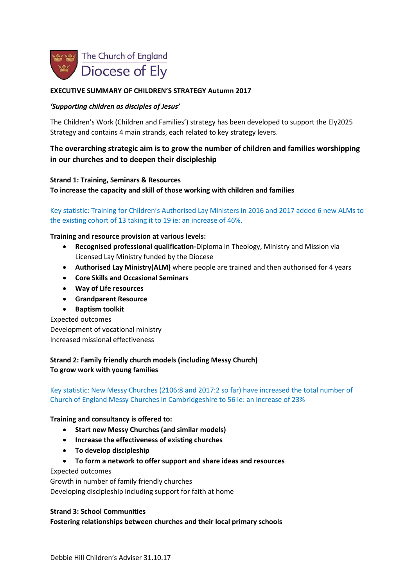

## **EXECUTIVE SUMMARY OF CHILDREN'S STRATEGY Autumn 2017**

#### *'Supporting children as disciples of Jesus'*

The Children's Work (Children and Families') strategy has been developed to support the Ely2025 Strategy and contains 4 main strands, each related to key strategy levers.

# **The overarching strategic aim is to grow the number of children and families worshipping in our churches and to deepen their discipleship**

#### **Strand 1: Training, Seminars & Resources**

**To increase the capacity and skill of those working with children and families**

# Key statistic: Training for Children's Authorised Lay Ministers in 2016 and 2017 added 6 new ALMs to the existing cohort of 13 taking it to 19 ie: an increase of 46%.

#### **Training and resource provision at various levels:**

- **Recognised professional qualification-**Diploma in Theology, Ministry and Mission via Licensed Lay Ministry funded by the Diocese
- **Authorised Lay Ministry(ALM)** where people are trained and then authorised for 4 years
- **Core Skills and Occasional Seminars**
- **Way of Life resources**
- **Grandparent Resource**
- **Baptism toolkit**

#### Expected outcomes

Development of vocational ministry Increased missional effectiveness

# **Strand 2: Family friendly church models (including Messy Church) To grow work with young families**

# Key statistic: New Messy Churches (2106:8 and 2017:2 so far) have increased the total number of Church of England Messy Churches in Cambridgeshire to 56 ie: an increase of 23%

#### **Training and consultancy is offered to:**

- **Start new Messy Churches (and similar models)**
- **Increase the effectiveness of existing churches**
- **To develop discipleship**
- **To form a network to offer support and share ideas and resources**

#### Expected outcomes

Growth in number of family friendly churches Developing discipleship including support for faith at home

#### **Strand 3: School Communities**

#### **Fostering relationships between churches and their local primary schools**